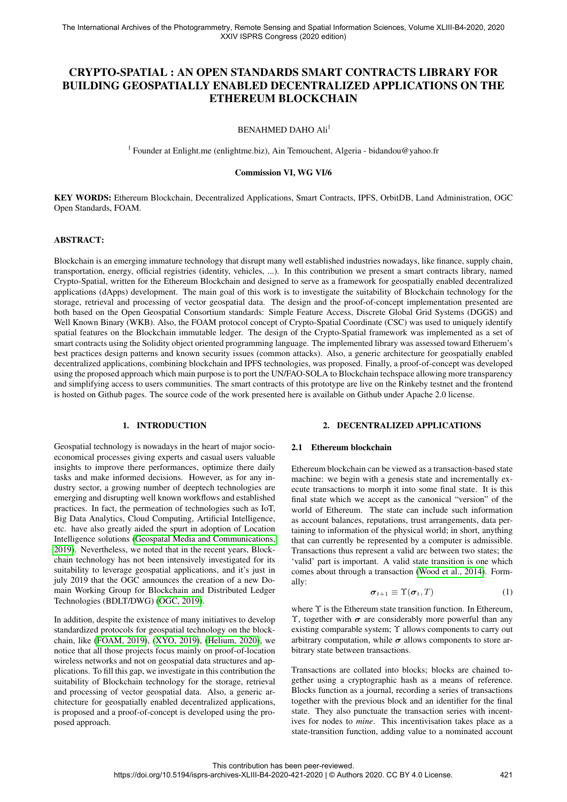# <span id="page-0-0"></span>CRYPTO-SPATIAL : AN OPEN STANDARDS SMART CONTRACTS LIBRARY FOR BUILDING GEOSPATIALLY ENABLED DECENTRALIZED APPLICATIONS ON THE ETHEREUM BLOCKCHAIN

### BENAHMED DAHO Ali<sup>1</sup>

<sup>1</sup> Founder at Enlight.me (enlightme.biz), Ain Temouchent, Algeria - bidandou@yahoo.fr

#### Commission VI, WG VI/6

KEY WORDS: Ethereum Blockchain, Decentralized Applications, Smart Contracts, IPFS, OrbitDB, Land Administration, OGC Open Standards, FOAM.

#### ABSTRACT:

Blockchain is an emerging immature technology that disrupt many well established industries nowadays, like finance, supply chain, transportation, energy, official registries (identity, vehicles, ...). In this contribution we present a smart contracts library, named Crypto-Spatial, written for the Ethereum Blockchain and designed to serve as a framework for geospatially enabled decentralized applications (dApps) development. The main goal of this work is to investigate the suitability of Blockchain technology for the storage, retrieval and processing of vector geospatial data. The design and the proof-of-concept implementation presented are both based on the Open Geospatial Consortium standards: Simple Feature Access, Discrete Global Grid Systems (DGGS) and Well Known Binary (WKB). Also, the FOAM protocol concept of Crypto-Spatial Coordinate (CSC) was used to uniquely identify spatial features on the Blockchain immutable ledger. The design of the Crypto-Spatial framework was implemented as a set of smart contracts using the Solidity object oriented programming language. The implemented library was assessed toward Etheruem's best practices design patterns and known security issues (common attacks). Also, a generic architecture for geospatially enabled decentralized applications, combining blockchain and IPFS technologies, was proposed. Finally, a proof-of-concept was developed using the proposed approach which main purpose is to port the UN/FAO-SOLA to Blockchain techspace allowing more transparency and simplifying access to users communities. The smart contracts of this prototype are live on the Rinkeby testnet and the frontend is hosted on Github pages. The source code of the work presented here is available on Github under Apache 2.0 license.

#### 1. INTRODUCTION

Geospatial technology is nowadays in the heart of major socioeconomical processes giving experts and casual users valuable insights to improve there performances, optimize there daily tasks and make informed decisions. However, as for any industry sector, a growing number of deeptech technologies are emerging and disrupting well known workflows and established practices. In fact, the permeation of technologies such as IoT, Big Data Analytics, Cloud Computing, Artificial Intelligence, etc. have also greatly aided the spurt in adoption of Location Intelligence solutions [\(Geospatal Media and Communications,](#page-5-0) [2019\)](#page-5-0). Nevertheless, we noted that in the recent years, Blockchain technology has not been intensively investigated for its suitability to leverage geospatial applications, and it's just in july 2019 that the OGC announces the creation of a new Domain Working Group for Blockchain and Distributed Ledger Technologies (BDLT/DWG) [\(OGC, 2019\)](#page-5-1).

In addition, despite the existence of many initiatives to develop standardized protocols for geospatial technology on the blockchain, like [\(FOAM, 2019\)](#page-5-2), [\(XYO, 2019\)](#page-5-3), [\(Helium, 2020\)](#page-5-4), we notice that all those projects focus mainly on proof-of-location wireless networks and not on geospatial data structures and applications. To fill this gap, we investigate in this contribution the suitability of Blockchain technology for the storage, retrieval and processing of vector geospatial data. Also, a generic architecture for geospatially enabled decentralized applications, is proposed and a proof-of-concept is developed using the proposed approach.

#### 2. DECENTRALIZED APPLICATIONS

#### 2.1 Ethereum blockchain

Ethereum blockchain can be viewed as a transaction-based state machine: we begin with a genesis state and incrementally execute transactions to morph it into some final state. It is this final state which we accept as the canonical "version" of the world of Ethereum. The state can include such information as account balances, reputations, trust arrangements, data pertaining to information of the physical world; in short, anything that can currently be represented by a computer is admissible. Transactions thus represent a valid arc between two states; the 'valid' part is important. A valid state transition is one which comes about through a transaction [\(Wood et al., 2014\)](#page-5-5). Formally:

$$
\boldsymbol{\sigma}_{t+1} \equiv \Upsilon(\boldsymbol{\sigma}_t, T) \tag{1}
$$

where Υ is the Ethereum state transition function. In Ethereum, Υ, together with  $\sigma$  are considerably more powerful than any existing comparable system; Υ allows components to carry out arbitrary computation, while  $\sigma$  allows components to store arbitrary state between transactions.

Transactions are collated into blocks; blocks are chained together using a cryptographic hash as a means of reference. Blocks function as a journal, recording a series of transactions together with the previous block and an identifier for the final state. They also punctuate the transaction series with incentives for nodes to *mine*. This incentivisation takes place as a state-transition function, adding value to a nominated account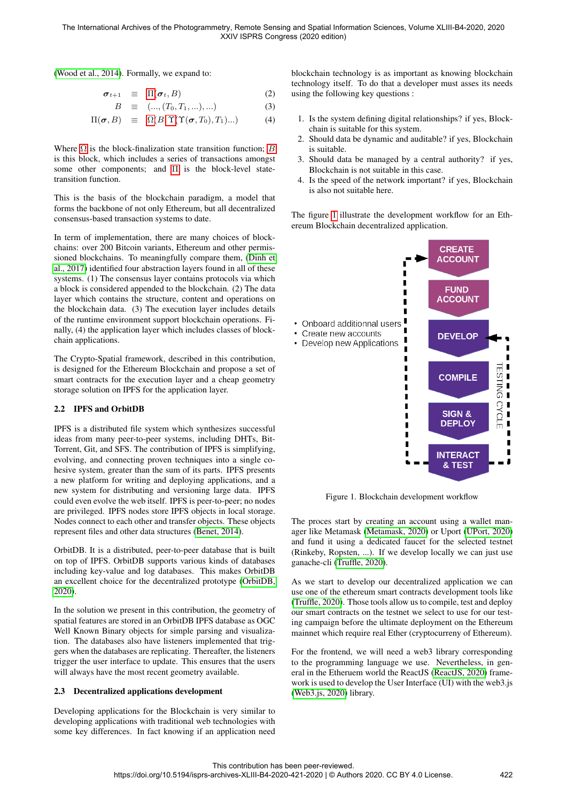[\(Wood et al., 2014\)](#page-5-5). Formally, we expand to:

$$
\boldsymbol{\sigma}_{t+1} \equiv \Pi(\boldsymbol{\sigma}_t, B) \tag{2}
$$

$$
B \equiv (\dots, (T_0, T_1, \dots), \dots) \tag{3}
$$

$$
\Pi(\boldsymbol{\sigma},B) \equiv \Omega(B,\Upsilon(\Upsilon(\boldsymbol{\sigma},T_0),T_1)...)
$$
 (4)

Where  $\Omega$  is the block-finalization state transition function; [B](#page-0-0) is this block, which includes a series of transactions amongst some other components; and [Π](#page-0-0) is the block-level statetransition function.

This is the basis of the blockchain paradigm, a model that forms the backbone of not only Ethereum, but all decentralized consensus-based transaction systems to date.

In term of implementation, there are many choices of blockchains: over 200 Bitcoin variants, Ethereum and other permissioned blockchains. To meaningfully compare them, [\(Dinh et](#page-5-6) [al., 2017\)](#page-5-6) identified four abstraction layers found in all of these systems. (1) The consensus layer contains protocols via which a block is considered appended to the blockchain. (2) The data layer which contains the structure, content and operations on the blockchain data. (3) The execution layer includes details of the runtime environment support blockchain operations. Finally, (4) the application layer which includes classes of blockchain applications.

The Crypto-Spatial framework, described in this contribution, is designed for the Ethereum Blockchain and propose a set of smart contracts for the execution layer and a cheap geometry storage solution on IPFS for the application layer.

### 2.2 IPFS and OrbitDB

IPFS is a distributed file system which synthesizes successful ideas from many peer-to-peer systems, including DHTs, Bit-Torrent, Git, and SFS. The contribution of IPFS is simplifying, evolving, and connecting proven techniques into a single cohesive system, greater than the sum of its parts. IPFS presents a new platform for writing and deploying applications, and a new system for distributing and versioning large data. IPFS could even evolve the web itself. IPFS is peer-to-peer; no nodes are privileged. IPFS nodes store IPFS objects in local storage. Nodes connect to each other and transfer objects. These objects represent files and other data structures [\(Benet, 2014\)](#page-5-7).

OrbitDB. It is a distributed, peer-to-peer database that is built on top of IPFS. OrbitDB supports various kinds of databases including key-value and log databases. This makes OrbitDB an excellent choice for the decentralized prototype [\(OrbitDB,](#page-5-8) [2020\)](#page-5-8).

In the solution we present in this contribution, the geometry of spatial features are stored in an OrbitDB IPFS database as OGC Well Known Binary objects for simple parsing and visualization. The databases also have listeners implemented that triggers when the databases are replicating. Thereafter, the listeners trigger the user interface to update. This ensures that the users will always have the most recent geometry available.

### 2.3 Decentralized applications development

Developing applications for the Blockchain is very similar to developing applications with traditional web technologies with some key differences. In fact knowing if an application need blockchain technology is as important as knowing blockchain technology itself. To do that a developer must asses its needs using the following key questions :

- 1. Is the system defining digital relationships? if yes, Blockchain is suitable for this system.
- 2. Should data be dynamic and auditable? if yes, Blockchain is suitable.
- 3. Should data be managed by a central authority? if yes, Blockchain is not suitable in this case.
- 4. Is the speed of the network important? if yes, Blockchain is also not suitable here.

The figure [1](#page-1-0) illustrate the development workflow for an Ethereum Blockchain decentralized application.

<span id="page-1-0"></span>

Figure 1. Blockchain development workflow

The proces start by creating an account using a wallet manager like Metamask [\(Metamask, 2020\)](#page-5-9) or Uport [\(UPort, 2020\)](#page-5-10) and fund it using a dedicated faucet for the selected testnet (Rinkeby, Ropsten, ...). If we develop locally we can just use ganache-cli [\(Truffle, 2020\)](#page-5-11).

As we start to develop our decentralized application we can use one of the ethereum smart contracts development tools like [\(Truffle, 2020\)](#page-5-11). Those tools allow us to compile, test and deploy our smart contracts on the testnet we select to use for our testing campaign before the ultimate deployment on the Ethereum mainnet which require real Ether (cryptocurreny of Ethereum).

For the frontend, we will need a web3 library corresponding to the programming language we use. Nevertheless, in general in the Etheruem world the ReactJS [\(ReactJS, 2020\)](#page-5-12) framework is used to develop the User Interface (UI) with the web3.js [\(Web3.js, 2020\)](#page-5-13) library.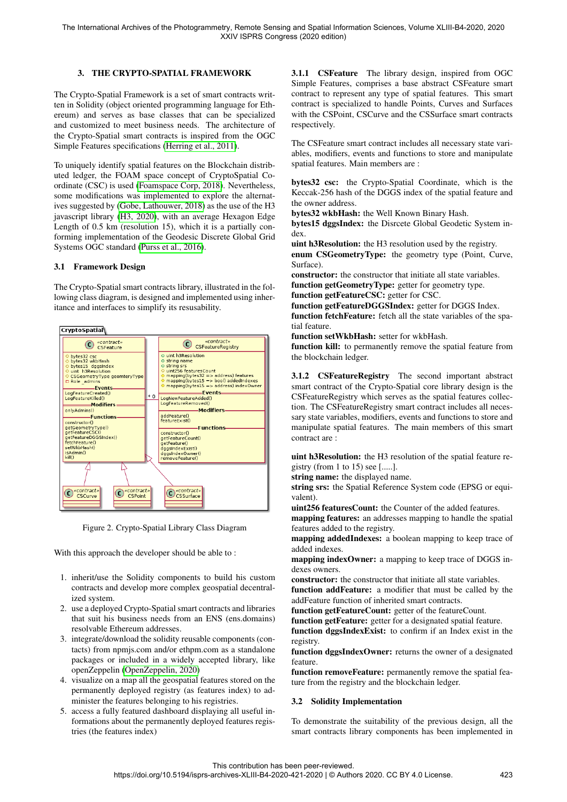# 3. THE CRYPTO-SPATIAL FRAMEWORK

The Crypto-Spatial Framework is a set of smart contracts written in Solidity (object oriented programming language for Ethereum) and serves as base classes that can be specialized and customized to meet business needs. The architecture of the Crypto-Spatial smart contracts is inspired from the OGC Simple Features specifications [\(Herring et al., 2011\)](#page-5-14).

To uniquely identify spatial features on the Blockchain distributed ledger, the FOAM space concept of CryptoSpatial Coordinate (CSC) is used [\(Foamspace Corp, 2018\)](#page-5-15). Nevertheless, some modifications was implemented to explore the alternatives suggested by [\(Gobe, Lathouwer, 2018\)](#page-5-16) as the use of the H3 javascript library [\(H3, 2020\)](#page-5-17), with an average Hexagon Edge Length of 0.5 km (resolution 15), which it is a partially conforming implementation of the Geodesic Discrete Global Grid Systems OGC standard [\(Purss et al., 2016\)](#page-5-18).

#### 3.1 Framework Design

The Crypto-Spatial smart contracts library, illustrated in the following class diagram, is designed and implemented using inheritance and interfaces to simplify its resusability.



Figure 2. Crypto-Spatial Library Class Diagram

With this approach the developer should be able to :

- 1. inherit/use the Solidity components to build his custom contracts and develop more complex geospatial decentralized system.
- 2. use a deployed Crypto-Spatial smart contracts and libraries that suit his business needs from an ENS (ens.domains) resolvable Ethereum addresses.
- 3. integrate/download the solidity reusable components (contacts) from npmjs.com and/or ethpm.com as a standalone packages or included in a widely accepted library, like openZeppelin [\(OpenZeppelin, 2020\)](#page-5-19)
- 4. visualize on a map all the geospatial features stored on the permanently deployed registry (as features index) to administer the features belonging to his registries.
- 5. access a fully featured dashboard displaying all useful informations about the permanently deployed features registries (the features index)

3.1.1 CSFeature The library design, inspired from OGC Simple Features, comprises a base abstract CSFeature smart contract to represent any type of spatial features. This smart contract is specialized to handle Points, Curves and Surfaces with the CSPoint, CSCurve and the CSSurface smart contracts respectively.

The CSFeature smart contract includes all necessary state variables, modifiers, events and functions to store and manipulate spatial features. Main members are :

bytes32 csc: the Crypto-Spatial Coordinate, which is the Keccak-256 hash of the DGGS index of the spatial feature and the owner address.

bytes32 wkbHash: the Well Known Binary Hash.

bytes15 dggsIndex: the Disrcete Global Geodetic System index.

uint h3Resolution: the H3 resolution used by the registry. enum CSGeometryType: the geometry type (Point, Curve, Surface).

constructor: the constructor that initiate all state variables. function getGeometryType: getter for geometry type.

function getFeatureCSC: getter for CSC.

function getFeatureDGGSIndex: getter for DGGS Index. function fetchFeature: fetch all the state variables of the spatial feature.

function setWkbHash: setter for wkbHash.

function kill: to permanently remove the spatial feature from the blockchain ledger.

3.1.2 CSFeatureRegistry The second important abstract smart contract of the Crypto-Spatial core library design is the CSFeatureRegistry which serves as the spatial features collection. The CSFeatureRegistry smart contract includes all necessary state variables, modifiers, events and functions to store and manipulate spatial features. The main members of this smart contract are :

uint h3Resolution: the H3 resolution of the spatial feature registry (from 1 to 15) see [.....].

string name: the displayed name.

string srs: the Spatial Reference System code (EPSG or equivalent).

uint256 featuresCount: the Counter of the added features.

mapping features: an addresses mapping to handle the spatial features added to the registry.

mapping addedIndexes: a boolean mapping to keep trace of added indexes.

mapping indexOwner: a mapping to keep trace of DGGS indexes owners.

constructor: the constructor that initiate all state variables.

function addFeature: a modifier that must be called by the addFeature function of inherited smart contracts.

function getFeatureCount: getter of the featureCount.

function getFeature: getter for a designated spatial feature.

function dggsIndexExist: to confirm if an Index exist in the registry.

function dggsIndexOwner: returns the owner of a designated feature.

function removeFeature: permanently remove the spatial feature from the registry and the blockchain ledger.

#### 3.2 Solidity Implementation

To demonstrate the suitability of the previous design, all the smart contracts library components has been implemented in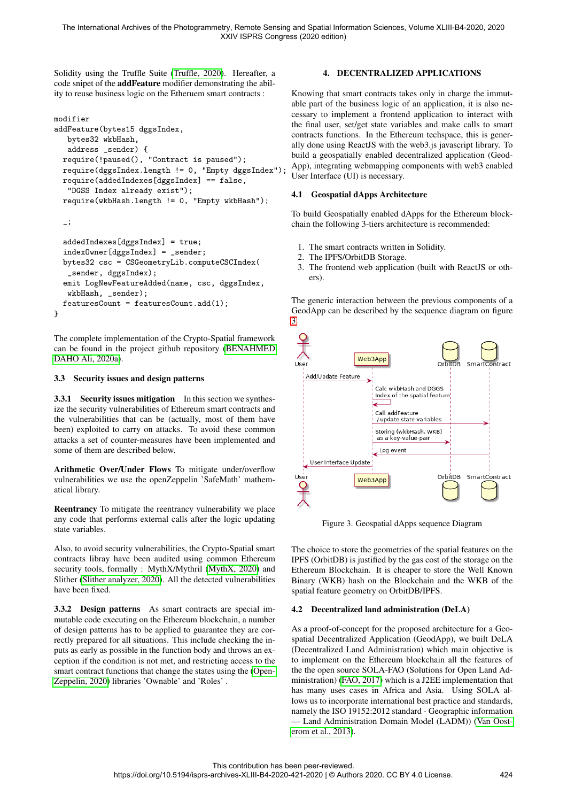Solidity using the Truffle Suite [\(Truffle, 2020\)](#page-5-11). Hereafter, a code snipet of the addFeature modifier demonstrating the ability to reuse business logic on the Etheruem smart contracts :

```
modifier
addFeature(bytes15 dggsIndex,
  bytes32 wkbHash,
   address _sender) {
  require(!paused(), "Contract is paused");
  require(dggsIndex.length != 0, "Empty dggsIndex");
  require(addedIndexes[dggsIndex] == false,
   "DGSS Index already exist");
  require(wkbHash.length != 0, "Empty wkbHash");
```
\_;

```
addedIndexes[dggsIndex] = true;
  indexOwner[dggsIndex] = _sender;
  bytes32 csc = CSGeometryLib.computeCSCIndex(
   _sender, dggsIndex);
  emit LogNewFeatureAdded(name, csc, dggsIndex,
   wkbHash, _sender);
  featuresCount = featuresCount.add(1);
}
```
The complete implementation of the Crypto-Spatial framework can be found in the project github repository [\(BENAHMED](#page-5-20) [DAHO Ali, 2020a\)](#page-5-20).

### 3.3 Security issues and design patterns

3.3.1 Security issues mitigation In this section we synthesize the security vulnerabilities of Ethereum smart contracts and the vulnerabilities that can be (actually, most of them have been) exploited to carry on attacks. To avoid these common attacks a set of counter-measures have been implemented and some of them are described below.

Arithmetic Over/Under Flows To mitigate under/overflow vulnerabilities we use the openZeppelin 'SafeMath' mathematical library.

Reentrancy To mitigate the reentrancy vulnerability we place any code that performs external calls after the logic updating state variables.

Also, to avoid security vulnerabilities, the Crypto-Spatial smart contracts libray have been audited using common Ethereum security tools, formally : MythX/Mythril [\(MythX, 2020\)](#page-5-21) and Slither [\(Slither analyzer, 2020\)](#page-5-22). All the detected vulnerabilities have been fixed.

3.3.2 Design patterns As smart contracts are special immutable code executing on the Ethereum blockchain, a number of design patterns has to be applied to guarantee they are correctly prepared for all situations. This include checking the inputs as early as possible in the function body and throws an exception if the condition is not met, and restricting access to the smart contract functions that change the states using the [\(Open-](#page-5-19)[Zeppelin, 2020\)](#page-5-19) libraries 'Ownable' and 'Roles' .

## 4. DECENTRALIZED APPLICATIONS

Knowing that smart contracts takes only in charge the immutable part of the business logic of an application, it is also necessary to implement a frontend application to interact with the final user, set/get state variables and make calls to smart contracts functions. In the Ethereum techspace, this is generally done using ReactJS with the web3.js javascript library. To build a geospatially enabled decentralized application (Geod-App), integrating webmapping components with web3 enabled User Interface (UI) is necessary.

### 4.1 Geospatial dApps Architecture

To build Geospatially enabled dApps for the Ethereum blockchain the following 3-tiers architecture is recommended:

- 1. The smart contracts written in Solidity.
- 2. The IPFS/OrbitDB Storage.
- 3. The frontend web application (built with ReactJS or others).

The generic interaction between the previous components of a GeodApp can be described by the sequence diagram on figure [3.](#page-3-0)

<span id="page-3-0"></span>

Figure 3. Geospatial dApps sequence Diagram

The choice to store the geometries of the spatial features on the IPFS (OrbitDB) is justified by the gas cost of the storage on the Ethereum Blockchain. It is cheaper to store the Well Known Binary (WKB) hash on the Blockchain and the WKB of the spatial feature geometry on OrbitDB/IPFS.

### 4.2 Decentralized land administration (DeLA)

As a proof-of-concept for the proposed architecture for a Geospatial Decentralized Application (GeodApp), we built DeLA (Decentralized Land Administration) which main objective is to implement on the Ethereum blockchain all the features of the the open source SOLA-FAO (Solutions for Open Land Administration) [\(FAO, 2017\)](#page-5-23) which is a J2EE implementation that has many uses cases in Africa and Asia. Using SOLA allows us to incorporate international best practice and standards, namely the ISO 19152:2012 standard - Geographic information — Land Administration Domain Model (LADM)) [\(Van Oost](#page-5-24)[erom et al., 2013\)](#page-5-24).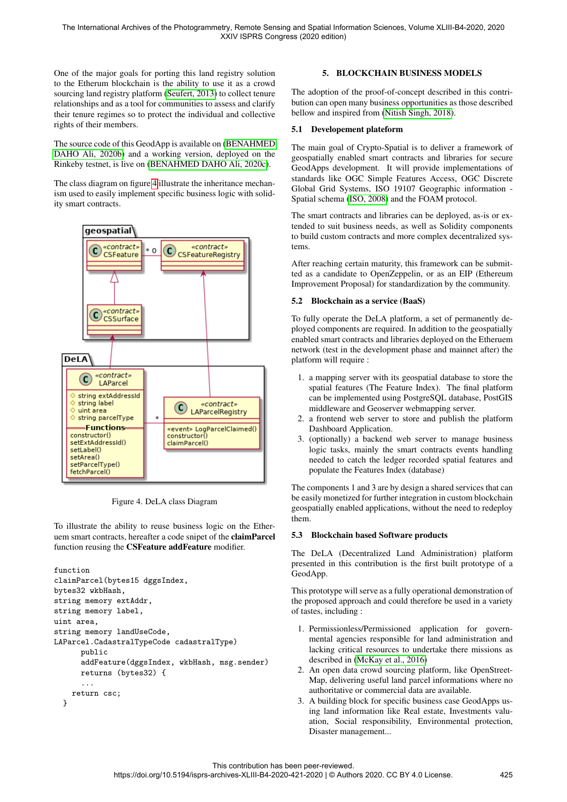One of the major goals for porting this land registry solution to the Etherum blockchain is the ability to use it as a crowd sourcing land registry platform [\(Seufert, 2013\)](#page-5-25) to collect tenure relationships and as a tool for communities to assess and clarify their tenure regimes so to protect the individual and collective rights of their members.

The source code of this GeodApp is available on [\(BENAHMED](#page-5-26) [DAHO Ali, 2020b\)](#page-5-26) and a working version, deployed on the Rinkeby testnet, is live on [\(BENAHMED DAHO Ali, 2020c\)](#page-5-27).

The class diagram on figure [4](#page-4-0) illustrate the inheritance mechanism used to easily implement specific business logic with solidity smart contracts.

<span id="page-4-0"></span>

Figure 4. DeLA class Diagram

To illustrate the ability to reuse business logic on the Etheruem smart contracts, hereafter a code snipet of the claimParcel function reusing the CSFeature addFeature modifier.

```
function
claimParcel(bytes15 dggsIndex,
bytes32 wkbHash,
string memory extAddr,
string memory label,
uint area,
string memory landUseCode,
LAParcel.CadastralTypeCode cadastralType)
      public
      addFeature(dggsIndex, wkbHash, msg.sender)
      returns (bytes32) {
      ...
    return csc;
  }
```
# 5. BLOCKCHAIN BUSINESS MODELS

The adoption of the proof-of-concept described in this contribution can open many business opportunities as those described bellow and inspired from [\(Nitish Singh, 2018\)](#page-5-28).

## 5.1 Developement plateform

The main goal of Crypto-Spatial is to deliver a framework of geospatially enabled smart contracts and libraries for secure GeodApps development. It will provide implementations of standards like OGC Simple Features Access, OGC Discrete Global Grid Systems, ISO 19107 Geographic information - Spatial schema [\(ISO, 2008\)](#page-5-29) and the FOAM protocol.

The smart contracts and libraries can be deployed, as-is or extended to suit business needs, as well as Solidity components to build custom contracts and more complex decentralized systems.

After reaching certain maturity, this framework can be submitted as a candidate to OpenZeppelin, or as an EIP (Ethereum Improvement Proposal) for standardization by the community.

### 5.2 Blockchain as a service (BaaS)

To fully operate the DeLA platform, a set of permanently deployed components are required. In addition to the geospatially enabled smart contracts and libraries deployed on the Etheruem network (test in the development phase and mainnet after) the platform will require :

- 1. a mapping server with its geospatial database to store the spatial features (The Feature Index). The final platform can be implemented using PostgreSQL database, PostGIS middleware and Geoserver webmapping server.
- 2. a frontend web server to store and publish the platform Dashboard Application.
- 3. (optionally) a backend web server to manage business logic tasks, mainly the smart contracts events handling needed to catch the ledger recorded spatial features and populate the Features Index (database)

The components 1 and 3 are by design a shared services that can be easily monetized for further integration in custom blockchain geospatially enabled applications, without the need to redeploy them.

# 5.3 Blockchain based Software products

The DeLA (Decentralized Land Administration) platform presented in this contribution is the first built prototype of a GeodApp.

This prototype will serve as a fully operational demonstration of the proposed approach and could therefore be used in a variety of tastes, including :

- 1. Permissionless/Permissioned application for governmental agencies responsible for land administration and lacking critical resources to undertake there missions as described in [\(McKay et al., 2016\)](#page-5-30)
- 2. An open data crowd sourcing platform, like OpenStreet-Map, delivering useful land parcel informations where no authoritative or commercial data are available.
- 3. A building block for specific business case GeodApps using land information like Real estate, Investments valuation, Social responsibility, Environmental protection, Disaster management...